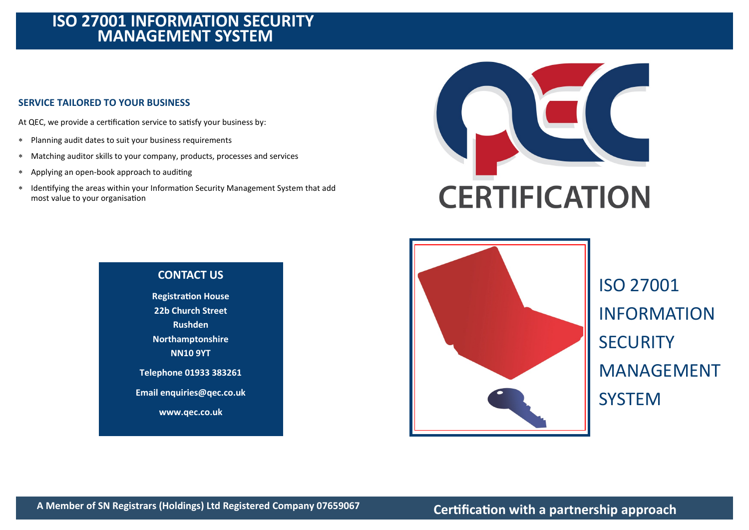# **ISO 27001 INFORMATION SECURITY MANAGEMENT SYSTEM**

## **SERVICE TAILORED TO YOUR BUSINESS**

At QEC, we provide a certification service to satisfy your business by:

- Planning audit dates to suit your business requirements
- Matching auditor skills to your company, products, processes and services
- Applying an open-book approach to auditing
- Identifying the areas within your Information Security Management System that add most value to your organisation





ISO 27001 INFORMATION **SECURITY** MANAGEMENT **SYSTEM** 

# **CONTACT US**

**Registration House 22b Church Street Rushden Northamptonshire NN10 9YT Telephone 01933 383261 Email enquiries@qec.co.uk www.qec.co.uk**